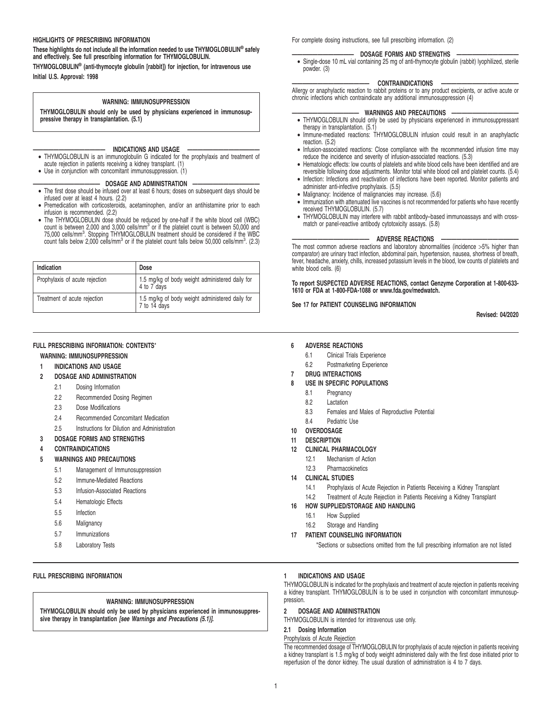#### **HIGHLIGHTS OF PRESCRIBING INFORMATION**

**These highlights do not include all the information needed to use THYMOGLOBULIN® safely and effectively. See full prescribing information for THYMOGLOBULIN.**

**THYMOGLOBULIN® (anti-thymocyte globulin [rabbit]) for injection, for intravenous use Initial U.S. Approval: 1998**

#### **WARNING: IMMUNOSUPPRESSION**

**THYMOGLOBULIN should only be used by physicians experienced in immunosuppressive therapy in transplantation. (5.1)**

- **—————————————— INDICATIONS AND USAGE ——————————————** THYMOGLOBULIN is an immunoglobulin G indicated for the prophylaxis and treatment of acute rejection in patients receiving a kidney transplant. (1)
- Use in conjunction with concomitant immunosuppression. (1)

#### $-$  DOSAGE AND ADMINISTRATION

- The first dose should be infused over at least 6 hours; doses on subsequent days should be infused over at least 4 hours. (2.2)
- Premedication with corticosteroids, acetaminophen, and/or an antihistamine prior to each infusion is recommended. (2.2)
- The THYMOGLOBULIN dose should be reduced by one-half if the white blood cell (WBC) count is between 2,000 and 3,000 cells/mm<sup>3</sup> or if the platelet count is between 50,000 and 75,000 cells/mm<sup>3</sup>. Stopping THYMOGLOBULIN treatment should be considered if the WBC count falls below 2,000 cells/mm<sup>3</sup> or if the platelet count falls below 50,000 cells/mm<sup>3</sup>. (2.3)

| Indication                     | Dose                                                            |
|--------------------------------|-----------------------------------------------------------------|
| Prophylaxis of acute rejection | 1.5 mg/kg of body weight administered daily for<br>4 to 7 days  |
| Treatment of acute rejection   | 1.5 mg/kg of body weight administered daily for<br>7 to 14 days |

#### **FULL PRESCRIBING INFORMATION: CONTENTS**\*

### **WARNING: IMMUNOSUPPRESSION**

**1 INDICATIONS AND USAGE**

#### **2 DOSAGE AND ADMINISTRATION**

- 2.1 Dosing Information
- 2.2 Recommended Dosing Regimen
- 2.3 Dose Modifications
- 2.4 Recommended Concomitant Medication
- 2.5 Instructions for Dilution and Administration
- **3 DOSAGE FORMS AND STRENGTHS**
- **4 CONTRAINDICATIONS**
- **5 WARNINGS AND PRECAUTIONS**
	- 5.1 Management of Immunosuppression
	- 5.2 Immune-Mediated Reactions
	- 5.3 Infusion-Associated Reactions
	- 5.4 Hematologic Effects
	- 5.5 Infection
	- 5.6 Malignancy
	- 5.7 Immunizations
	- 5.8 Laboratory Tests

# **FULL PRESCRIBING INFORMATION**

#### **WARNING: IMMUNOSUPPRESSION**

**THYMOGLOBULIN should only be used by physicians experienced in immunosuppressive therapy in transplantation [see Warnings and Precautions (5.1)].**

For complete dosing instructions, see full prescribing information. (2)

#### **DOSAGE FORMS AND STRENGTHS**

• Single-dose 10 mL vial containing 25 mg of anti-thymocyte globulin (rabbit) lyophilized, sterile powder. (3)

#### **——————————————— CONTRAINDICATIONS ———————————————**

Allergy or anaphylactic reaction to rabbit proteins or to any product excipients, or active acute or chronic infections which contraindicate any additional immunosuppression (4)

- **————————————— WARNINGS AND PRECAUTIONS —————————————** THYMOGLOBULIN should only be used by physicians experienced in immunosuppressant therapy in transplantation. (5.1)
- Immune-mediated reactions: THYMOGLOBULIN infusion could result in an anaphylactic reaction. (5.2)
- Infusion-associated reactions: Close compliance with the recommended infusion time may reduce the incidence and severity of infusion-associated reactions. (5.3)
- Hematologic effects: low counts of platelets and white blood cells have been identified and are reversible following dose adjustments. Monitor total white blood cell and platelet counts. (5.4)
- Infection: Infections and reactivation of infections have been reported. Monitor patients and administer anti-infective prophylaxis. (5.5) • Malignancy: Incidence of malignancies may increase. (5.6)
- 
- Immunization with attenuated live vaccines is not recommended for patients who have recently received THYMOGLOBULIN. (5.7)
- THYMOGLOBULIN may interfere with rabbit antibody–based immunoassays and with crossmatch or panel-reactive antibody cytotoxicity assays. (5.8)

#### **ADVERSE REACTIONS**

The most common adverse reactions and laboratory abnormalities (incidence >5% higher than comparator) are urinary tract infection, abdominal pain, hypertension, nausea, shortness of breath, fever, headache, anxiety, chills, increased potassium levels in the blood, low counts of platelets and white blood cells. (6)

**To report SUSPECTED ADVERSE REACTIONS, contact Genzyme Corporation at 1-800-633- 1610 or FDA at 1-800-FDA-1088 or www.fda.gov/medwatch.**

#### **See 17 for PATIENT COUNSELING INFORMATION**

**Revised: 04/2020**

#### **6 ADVERSE REACTIONS**

- 6.1 Clinical Trials Experience
- 6.2 Postmarketing Experience
- **7 DRUG INTERACTIONS**
- **8 USE IN SPECIFIC POPULATIONS**
	- 8.1 Pregnancy
	- 8.2 Lactation
	-
	- 8.3 Females and Males of Reproductive Potential
	- 8.4 Pediatric Use
- **10 OVERDOSAGE**
- **11 DESCRIPTION**
- **12 CLINICAL PHARMACOLOGY**
	- 12.1 Mechanism of Action
	- 12.3 Pharmacokinetics

# **14 CLINICAL STUDIES**

- 14.1 Prophylaxis of Acute Rejection in Patients Receiving a Kidney Transplant
- 14.2 Treatment of Acute Rejection in Patients Receiving a Kidney Transplant
- **16 HOW SUPPLIED/STORAGE AND HANDLING**
	- 16.1 How Supplied
	- 16.2 Storage and Handling

#### **17 PATIENT COUNSELING INFORMATION**

\*Sections or subsections omitted from the full prescribing information are not listed

# **1 INDICATIONS AND USAGE**

THYMOGLOBULIN is indicated for the prophylaxis and treatment of acute rejection in patients receiving a kidney transplant. THYMOGLOBULIN is to be used in conjunction with concomitant immunosuppression.

# **2 DOSAGE AND ADMINISTRATION**

THYMOGLOBULIN is intended for intravenous use only.

#### **2.1 Dosing Information**

#### Prophylaxis of Acute Rejection

The recommended dosage of THYMOGLOBULIN for prophylaxis of acute rejection in patients receiving a kidney transplant is 1.5 mg/kg of body weight administered daily with the first dose initiated prior to reperfusion of the donor kidney. The usual duration of administration is 4 to 7 days.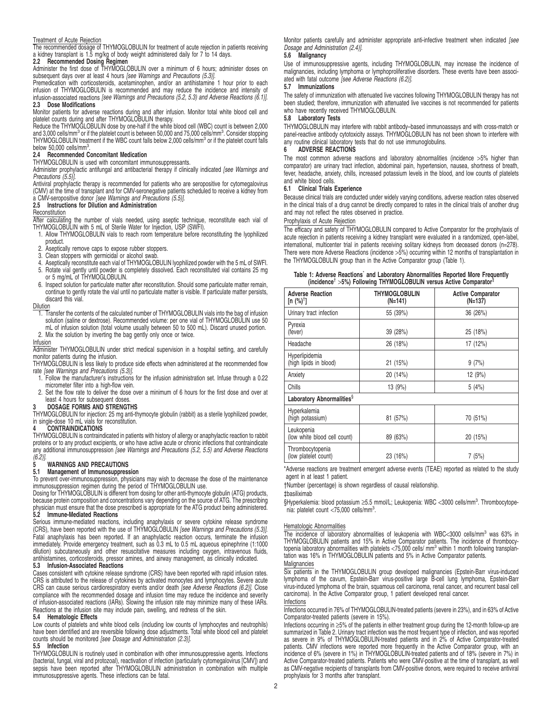#### Treatment of Acute Rejection

The recommended dosage of THYMOGLOBULIN for treatment of acute rejection in patients receiving a kidney transplant is 1.5 mg/kg of body weight administered daily for 7 to 14 days.

### **2.2 Recommended Dosing Regimen**

Administer the first dose of THYMOGLOBULIN over a minimum of 6 hours; administer doses on subsequent days over at least 4 hours [see Warnings and Precautions (5.3)].

Premedication with corticosteroids, acetaminophen, and/or an antihistamine 1 hour prior to each infusion of THYMOGLOBULIN is recommended and may reduce the incidence and intensity of infusion-associated reactions [see Warnings and Precautions (5.2, 5.3) and Adverse Reactions (6.1)]. **2.3 Dose Modifications**

Monitor patients for adverse reactions during and after infusion. Monitor total white blood cell and<br>platelet counts during and after THYMOGLOBULIN therapy.<br>Reduce the THYMOGLOBULIN dose by one-half if the white blood cell

and 3,000 cells/mm<sup>3</sup> or if the platelet count is between 50,000 and 75,000 cells/mm<sup>3</sup>. Consider stopping THYMOGLOBULIN treatment if the WBC count falls below 2,000 cells/mm<sup>3</sup> or if the platelet count falls below 50,000 cells/mm $3$ 

# . **2.4 Recommended Concomitant Medication**

THYMOGLOBULIN is used with concomitant immunosuppressants.

Administer prophylactic antifungal and antibacterial therapy if clinically indicated [see Warnings and Precautions (5.5)].

Antiviral prophylactic therapy is recommended for patients who are seropositive for cytomegalovirus<br>(CMV) at the time of transplant and for CMV-seronegative patients scheduled to receive a kidney from<br>a CMV-seropositive do

#### Reconstitution

After calculating the number of vials needed, using aseptic technique, reconstitute each vial of THYMOGLOBULIN with 5 mL of Sterile Water for Injection, USP (SWFI).

- 1. Allow THYMOGLOBULIN vials to reach room temperature before reconstituting the lyophilized
- product. 2. Aseptically remove caps to expose rubber stoppers.
- 3. Clean stoppers with germicidal or alcohol swab.
- 4. Aseptically reconstitute each vial of THYMOGLOBULIN lyophilized powder with the 5 mL of SWFI. 5. Rotate vial gently until powder is completely dissolved. Each reconstituted vial contains 25 mg
- or 5 mg/mL of THYMOGLOBULIN.
- 6. Inspect solution for particulate matter after reconstitution. Should some particulate matter remain, continue to gently rotate the vial until no particulate matter is visible. If particulate matter persists, discard this vial.

#### Dilution

- **1. Transfer the contents of the calculated number of THYMOGLOBULIN vials into the bag of infusion** solution (saline or dextrose). Recommended volume: per one vial of THYMOGLOBULIN use 50 mL of infusion solution (total volume usually between 50 to 500 mL). Discard unused portion.
- 2. Mix the solution by inverting the bag gently only once or twice.

#### Infusion

Administer THYMOGLOBULIN under strict medical supervision in a hospital setting, and carefully monitor patients during the infusion.

THYMOGLOBULIN is less likely to produce side effects when administered at the recommended flow rate [see Warnings and Precautions (5.3)].

- 1. Follow the manufacturer's instructions for the infusion administration set. Infuse through a 0.22 micrometer filter into a high-flow vein.
- 2. Set the flow rate to deliver the dose over a minimum of 6 hours for the first dose and over at least 4 hours for subsequent doses

#### **3 DOSAGE FORMS AND STRENGTHS**

THYMOGLOBULIN for injection: 25 mg anti-thymocyte globulin (rabbit) as a sterile lyophilized powder, in single-dose 10 mL vials for reconstitution. **4 CONTRAINDICATIONS**

THYMOGLOBULIN is contraindicated in patients with history of allergy or anaphylactic reaction to rabbit proteins or to any product excipients, or who have active acute or chronic infections that contraindicate any additional immunosuppression [see Warnings and Precautions (5.2, 5.5) and Adverse Reactions  $(6.2)$ ].

# **5 WARNINGS AND PRECAUTIONS**

### **5.1 Management of Immunosuppression**

To prevent over-immunosuppression, physicians may wish to decrease the dose of the maintenance

immunosuppression regimen during the period of THYMOGLOBULIN use. Dosing for THYMOGLOBULIN is different from dosing for other anti-thymocyte globulin (ATG) products, because protein composition and concentrations vary depending on the source of ATG. The prescribing physician must ensure that the dose prescribed is appropriate for the ATG product being administered. **5.2 Immune-Mediated Reactions**

Serious immune-mediated reactions, including anaphylaxis or severe cytokine release syndrome<br>(CRS), have been reported with the use of THYMOGLOBULIN *[see Warnings and Precautions (5.3)]*. Fatal anaphylaxis has been reported. If an anaphylactic reaction occurs, terminate the infusion immediately. Provide emergency treatment, such as 0.3 mL to 0.5 mL aqueous epinephrine (1:1000 dilution) subcutaneously and other resuscitative measures including oxygen, intravenous fluids, antihistamines, corticosteroids, pressor amines, and airway management, as clinically indicated.

### **5.3 Infusion-Associated Reactions**

Cases consistent with cytokine release syndrome (CRS) have been reported with rapid infusion rates. CRS is attributed to the release of cytokines by activated monocytes and lymphocytes. Severe acute CRS can cause serious cardiorespiratory events and/or death [see Adverse Reactions (6.2)]. Close compliance with the recommended dosage and infusion time may reduce the incidence and severity of infusion-associated reactions (IARs). Slowing the infusion rate may minimize many of these IARs. Reactions at the infusion site may include pain, swelling, and redness of the skin.

#### **5.4 Hematologic Effects**

Low counts of platelets and white blood cells (including low counts of lymphocytes and neutrophils) have been identified and are reversible following dose adjustments. Total white blood cell and platelet counts should be monitored [see Dosage and Administration (2.3)].

#### **5.5 Infection**

THYMOGLOBULIN is routinely used in combination with other immunosuppressive agents. Infections (bacterial, fungal, viral and protozoal), reactivation of infection (particularly cytomegalovirus [CMV]) and sepsis have been reported after THYMOGLOBULIN administration in combination with multiple immunosuppressive agents. These infections can be fatal.

Monitor patients carefully and administer appropriate anti-infective treatment when indicated [see Dosage and Administration (2.4)].

# **5.6 Malignancy**

Use of immunosuppressive agents, including THYMOGLOBULIN, may increase the incidence of malignancies, including lymphoma or lymphoproliferative disorders. These events have been associated with fatal outcome [see Adverse Reactions (6.2)].

#### **5.7 Immunizations**

The safety of immunization with attenuated live vaccines following THYMOGLOBULIN therapy has not been studied; therefore, immunization with attenuated live vaccines is not recommended for patients who have recently received THYMOGLOBULIN.

#### **5.8 Laboratory Tests**

THYMOGLOBULIN may interfere with rabbit antibody–based immunoassays and with cross-match or panel-reactive antibody cytotoxicity assays. THYMOGLOBULIN has not been shown to interfere with any routine clinical laboratory tests that do not use immunoglobulins.<br>6 ADVERSE REACTIONS

#### **6 ADVERSE REACTIONS**

The most common adverse reactions and laboratory abnormalities (incidence >5% higher than comparator) are urinary tract infection, abdominal pain, hypertension, nausea, shortness of breath, fever, headache, anxiety, chills, increased potassium levels in the blood, and low counts of platelets and white blood cells.

#### **6.1 Clinical Trials Experience**

Because clinical trials are conducted under widely varying conditions, adverse reaction rates observed in the clinical trials of a drug cannot be directly compared to rates in the clinical trials of another drug and may not reflect the rates observed in practice.

#### Prophylaxis of Acute Rejection

The efficacy and safety of THYMOGLOBULIN compared to Active Comparator for the prophylaxis of acute rejection in patients receiving a kidney transplant were evaluated in a randomized, open-label, international, multicenter trial in patients receiving solitary kidneys from deceased donors (n=278). There were more Adverse Reactions (incidence >5%) occurring within 12 months of transplantation in the THYMOGLOBULIN group than in the Active Comparator group (Table 1).

| Table 1: Adverse Reactions and Laboratory Abnormalities Reported More Frequently |  |                                                                                            |  |
|----------------------------------------------------------------------------------|--|--------------------------------------------------------------------------------------------|--|
|                                                                                  |  | (incidence <sup>†</sup> >5%) Following THYMOGLOBULIN versus Active Comparator <sup>#</sup> |  |

| <b>Adverse Reaction</b><br>$[n (%)^{\dagger}]$ | THYMOGLOBULIN<br>(N=141) | <b>Active Comparator</b><br>(N=137) |  |  |  |
|------------------------------------------------|--------------------------|-------------------------------------|--|--|--|
| Urinary tract infection                        | 55 (39%)                 | 36(26%)                             |  |  |  |
| Pyrexia<br>(fever)                             | 39 (28%)                 | 25 (18%)                            |  |  |  |
| Headache                                       | 26 (18%)                 | 17 (12%)                            |  |  |  |
| Hyperlipidemia<br>(high lipids in blood)       | 21(15%)                  | 9(7%)                               |  |  |  |
| Anxiety                                        | 20(14%)                  | 12 (9%)                             |  |  |  |
| Chills                                         | 13 (9%)                  | 5(4%)                               |  |  |  |
| Laboratory Abnormalities <sup>§</sup>          |                          |                                     |  |  |  |
| Hyperkalemia<br>(high potassium)               | 81 (57%)                 | 70 (51%)                            |  |  |  |
| Leukopenia<br>(low white blood cell count)     | 89 (63%)                 | 20 (15%)                            |  |  |  |
| Thrombocytopenia<br>(low platelet count)       | 23 (16%)                 | 7(5%)                               |  |  |  |

\*Adverse reactions are treatment emergent adverse events (TEAE) reported as related to the study agent in at least 1 patient.

†Number (percentage) is shown regardless of causal relationship.

‡basiliximab

§Hyperkalemia: blood potassium ≥5.5 mmol/L; Leukopenia: WBC <3000 cells/mm<sup>3</sup>. Thrombocytopenia: platelet count <75,000 cells/mm<sup>3</sup>.

#### Hematologic Abnormalities

The incidence of laboratory abnormalities of leukopenia with WBC<3000 cells/mm<sup>3</sup> was 63% in<br>THYMOGLOBULIN patients and 15% in Active Comparator patients. The incidence of thrombocytopenia laboratory abnormalities with platelets <75,000 cells/ mm<sup>3</sup> within 1 month following transplantation was 16% in THYMOGLOBULIN patients and 5% in Active Comparator patients. Malignancies

Six patients in the THYMOGLOBULIN group developed malignancies (Epstein-Barr virus-induced lymphoma of the cavum, Epstein-Barr virus-positive large B-cell lung lymphoma, Epstein-Barr virus-induced lymphoma of the brain, squamous cell carcinoma, renal cancer, and recurrent basal cell carcinoma). In the Active Comparator group, 1 patient developed renal cancer.

#### Infections

Infections occurred in 76% of THYMOGLOBULIN-treated patients (severe in 23%), and in 63% of Active Comparator-treated patients (severe in 15%).

Infections occurring in ≥5% of the patients in either treatment group during the 12-month follow-up are summarized in Table 2. Urinary tract infection was the most frequent type of infection, and was reported as severe in 9% of THYMOGLOBULIN-treated patients and in 2% of Active Comparator-treated patients. CMV infections were reported more frequently in the Active Comparator group, with an incidence of 6% (severe in 1%) in THYMOGLOBULIN-treated patients and of 18% (severe in 7%) in Active Comparator-treated patients. Patients who were CMV-positive at the time of transplant, as well as CMV-negative recipients of transplants from CMV-positive donors, were required to receive antiviral prophylaxis for 3 months after transplant.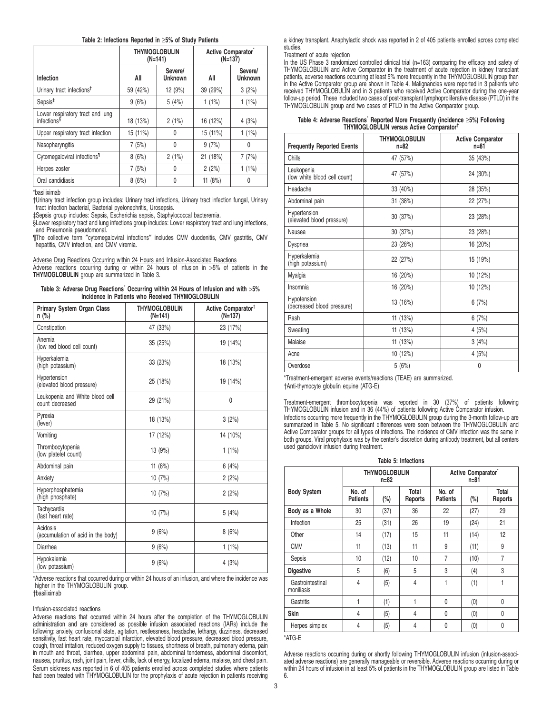### **Table 2: Infections Reported in** ≥**5% of Study Patients**

|                                                             | <b>THYMOGLOBULIN</b><br>$(N=141)$ |                           | Active Comparator <sup>®</sup> | $(N=137)$                 |
|-------------------------------------------------------------|-----------------------------------|---------------------------|--------------------------------|---------------------------|
| Infection                                                   | All                               | Severe/<br><b>Unknown</b> | All                            | Severe/<br><b>Unknown</b> |
| Urinary tract infections <sup>†</sup>                       | 59 (42%)                          | 12 (9%)                   | 39 (29%)                       | 3(2%)                     |
| $S$ epsis <sup><math>#</math></sup>                         | 9(6%)                             | 5(4%)                     | 1(1%)                          | 1(1%)                     |
| Lower respiratory tract and lung<br>infections <sup>§</sup> | 18 (13%)                          | 2(1%)                     | 16 (12%)                       | 4(3%)                     |
| Upper respiratory tract infection                           | 15 (11%)                          | 0                         | 15 (11%)                       | $1(1\%)$                  |
| Nasopharyngitis                                             | 7(5%)                             | 0                         | 9(7%)                          | 0                         |
| Cytomegaloviral infections <sup>1</sup>                     | 8(6%)                             | 2(1%)                     | 21 (18%)                       | 7(7%)                     |
| Herpes zoster                                               | 7(5%)                             | 0                         | 2(2%)                          | 1(1%)                     |
| Oral candidiasis                                            | 8(6%)                             | 0                         | 11(8%)                         | 0                         |

\*basiliximab

†Urinary tract infection group includes: Urinary tract infections, Urinary tract infection fungal, Urinary tract infection bacterial, Bacterial pyelonephritis, Urosepsis.

‡Sepsis group includes: Sepsis, Escherichia sepsis, Staphylococcal bacteremia.

§Lower respiratory tract and lung infections group includes: Lower respiratory tract and lung infections, and Pneumonia pseudomonal.

¶The collective term ″cytomegaloviral infections″ includes CMV duodenitis, CMV gastritis, CMV hepatitis, CMV infection, and CMV viremia.

Adverse Drug Reactions Occurring within 24 Hours and Infusion-Associated Reactions

Adverse reactions occurring during or within 24 hours of infusion in >5% of patients in the **THYMOGLOBULIN** group are summarized in Table 3.

| Table 3: Adverse Drug Reactions <sup>*</sup> Occurring within 24 Hours of Infusion and with >5% |  |  |
|-------------------------------------------------------------------------------------------------|--|--|
| Incidence in Patients who Received THYMOGLOBULIN                                                |  |  |

| <b>Primary System Organ Class</b><br>n (%)         | <b>THYMOGLOBULIN</b><br>$(N=141)$ | Active Comparator <sup>†</sup><br>$(N=137)$ |
|----------------------------------------------------|-----------------------------------|---------------------------------------------|
| Constipation                                       | 47 (33%)                          | 23 (17%)                                    |
| Anemia<br>(low red blood cell count)               | 35 (25%)                          | 19 (14%)                                    |
| Hyperkalemia<br>(high potassium)                   | 33 (23%)                          | 18 (13%)                                    |
| Hypertension<br>(elevated blood pressure)          | 25 (18%)                          | 19 (14%)                                    |
| Leukopenia and White blood cell<br>count decreased | 29 (21%)                          | $\mathbf{0}$                                |
| Pyrexia<br>(fever)                                 | 18 (13%)                          | 3(2%)                                       |
| Vomiting                                           | 17 (12%)                          | 14 (10%)                                    |
| Thrombocytopenia<br>(low platelet count)           | 13(9%)                            | 1(1%)                                       |
| Abdominal pain                                     | 11 $(8%)$                         | 6(4%)                                       |
| Anxiety                                            | 10 (7%)                           | 2(2%)                                       |
| Hyperphosphatemia<br>(high phosphate)              | 10(7%)                            | 2(2%)                                       |
| Tachycardia<br>(fast heart rate)                   | 10 (7%)                           | 5(4%)                                       |
| Acidosis<br>(accumulation of acid in the body)     | 9(6%)                             | 8(6%)                                       |
| Diarrhea                                           | 9(6%)                             | 1(1%)                                       |
| Hypokalemia<br>(low potassium)                     | 9(6%)                             | 4(3%)                                       |

\*Adverse reactions that occurred during or within 24 hours of an infusion, and where the incidence was higher in the THYMOGLOBULIN group.

†basiliximab

Infusion-associated reactions

Adverse reactions that occurred within 24 hours after the completion of the THYMOGLOBULIN administration and are considered as possible infusion associated reactions (IARs) include the following: anxiety, confusional state, agitation, restlessness, headache, lethargy, dizziness, decreased sensitivity, fast heart rate, myocardial infarction, elevated blood pressure, decreased blood pressure, cough, throat irritation, reduced oxygen supply to tissues, shortness of breath, pulmonary edema, pain in mouth and throat, diarrhea, upper abdominal pain, abdominal tenderness, abdominal discomfort, nausea, pruritus, rash, joint pain, fever, chills, lack of energy, localized edema, malaise, and chest pain. Serum sickness was reported in 6 of 405 patients enrolled across completed studies where patients had been treated with THYMOGLOBULIN for the prophylaxis of acute rejection in patients receiving

a kidney transplant. Anaphylactic shock was reported in 2 of 405 patients enrolled across completed studies.

#### Treatment of acute rejection

In the US Phase 3 randomized controlled clinical trial (n=163) comparing the efficacy and safety of THYMOGLOBULIN and Active Comparator in the treatment of acute rejection in kidney transplant<br>patients, adverse reactions occurring at least 5% more frequently in the THYMOGLOBULIN group than<br>in the Active Comparator group follow-up period. These included two cases of post-transplant lymphoproliferative disease (PTLD) in the THYMOGLOBULIN group and two cases of PTLD in the Active Comparator group.

| Table 4: Adverse Reactions` Reported More Frequently (incidence ≥5%) Following<br>THYMOGLOBULIN versus Active Comparator <sup>†</sup> |
|---------------------------------------------------------------------------------------------------------------------------------------|
|---------------------------------------------------------------------------------------------------------------------------------------|

| <b>Frequently Reported Events</b>          | <b>THYMOGLOBULIN</b><br>$n=82$ | <b>Active Comparator</b><br>$n=81$ |
|--------------------------------------------|--------------------------------|------------------------------------|
| Chills                                     | 47 (57%)                       | 35 (43%)                           |
| Leukopenia<br>(low white blood cell count) | 47 (57%)                       | 24 (30%)                           |
| Headache                                   | 33 (40%)                       | 28 (35%)                           |
| Abdominal pain                             | 31 (38%)                       | 22 (27%)                           |
| Hypertension<br>(elevated blood pressure)  | 30 (37%)                       | 23 (28%)                           |
| Nausea                                     | 30(37%)                        | 23 (28%)                           |
| Dyspnea                                    | 23 (28%)                       | 16 (20%)                           |
| Hyperkalemia<br>(high potassium)           | 22 (27%)                       | 15 (19%)                           |
| Myalgia                                    | 16 (20%)                       | 10 (12%)                           |
| Insomnia                                   | 16 (20%)                       | 10 (12%)                           |
| Hypotension<br>(decreased blood pressure)  | 13 (16%)                       | 6(7%)                              |
| Rash                                       | 11 (13%)                       | 6(7%)                              |
| Sweating                                   | 11 (13%)                       | 4(5%)                              |
| Malaise                                    | 11 (13%)                       | 3(4%)                              |
| Acne                                       | 10 (12%)                       | 4 (5%)                             |
| Overdose                                   | 5(6%)                          | 0                                  |

\*Treatment-emergent adverse events/reactions (TEAE) are summarized. †Anti-thymocyte globulin equine (ATG-E)

Treatment-emergent thrombocytopenia was reported in 30 (37%) of patients following THYMOGLOBULIN infusion and in 36 (44%) of patients following Active Comparator infusion. Infections occurring more frequently in the THYMOGLOBULIN group during the 3-month follow-up are summarized in Table 5. No significant differences were seen between the THYMOGLOBULIN and Active Comparator groups for all types of infections. The incidence of CMV infection was the same in both groups. Viral prophylaxis was by the center's discretion during antibody treatment, but all centers used ganciclovir infusion during treatment.

**Table 5: Infections**

|                                |                           | <b>THYMOGLOBULIN</b><br>$n = 82$ | Active Comparator <sup>®</sup><br>$n = 81$ |                           |      |                  |
|--------------------------------|---------------------------|----------------------------------|--------------------------------------------|---------------------------|------|------------------|
| <b>Body System</b>             | No. of<br><b>Patients</b> | (%)                              | Total<br>Reports                           | No. of<br><b>Patients</b> | (%)  | Total<br>Reports |
| Body as a Whole                | 30                        | (37)                             | 36                                         | 22                        | (27) | 29               |
| Infection                      | 25                        | (31)                             | 26                                         | 19                        | (24) | 21               |
| Other                          | 14                        | (17)                             | 15                                         | 11                        | (14) | 12               |
| <b>CMV</b>                     | 11                        | (13)                             | 11                                         | 9                         | (11) | 9                |
| Sepsis                         | 10                        | (12)                             | 10                                         | $\overline{7}$            | (10) | $\overline{7}$   |
| <b>Digestive</b>               | 5                         | (6)                              | 5                                          | 3                         | (4)  | 3                |
| Gastrointestinal<br>moniliasis | 4                         | (5)                              | 4                                          | 1                         | (1)  | 1                |
| Gastritis                      | 1                         | (1)                              | 1                                          | $\mathbf{0}$              | (0)  | $\mathbf{0}$     |
| Skin                           | 4                         | (5)                              | 4                                          | $\mathbf{0}$              | (0)  | 0                |
| Herpes simplex                 | 4                         | (5)                              | 4                                          | $\mathbf{0}$              | (0)  | 0                |

\*ATG-E

Adverse reactions occurring during or shortly following THYMOGLOBULIN infusion (infusion-associated adverse reactions) are generally manageable or reversible. Adverse reactions occurring during or within 24 hours of infusion in at least 5% of patients in the THYMOGLOBULIN group are listed in Table 6.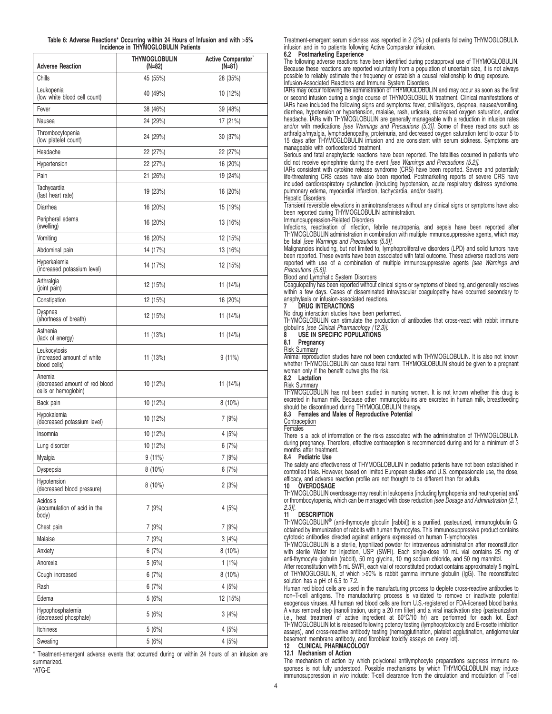|  | Table 6: Adverse Reactions* Occurring within 24 Hours of Infusion and with >5% |                                     |  |  |  |
|--|--------------------------------------------------------------------------------|-------------------------------------|--|--|--|
|  |                                                                                | Incidence in THYMOGLOBULIN Patients |  |  |  |

| <b>Adverse Reaction</b>                                          | <b>THYMOGLOBULIN</b><br>(N=82) | Active Comparator <sup>®</sup><br>$(N=81)$ |
|------------------------------------------------------------------|--------------------------------|--------------------------------------------|
| Chills                                                           | 45 (55%)                       | 28 (35%)                                   |
| Leukopenia<br>(low white blood cell count)                       | 40 (49%)                       | 10 (12%)                                   |
| Fever                                                            | 38 (46%)                       | 39 (48%)                                   |
| Nausea                                                           | 24 (29%)                       | 17 (21%)                                   |
| Thrombocytopenia<br>(low platelet count)                         | 24 (29%)                       | 30(37%)                                    |
| Headache                                                         | 22 (27%)                       | 22 (27%)                                   |
| Hypertension                                                     | 22 (27%)                       | 16 (20%)                                   |
| Pain                                                             | 21 (26%)                       | 19 (24%)                                   |
| Tachycardia<br>(fast heart rate)                                 | 19 (23%)                       | 16 (20%)                                   |
| Diarrhea                                                         | 16 (20%)                       | 15 (19%)                                   |
| Peripheral edema<br>(swelling)                                   | 16 (20%)                       | 13 (16%)                                   |
| Vomiting                                                         | 16 (20%)                       | 12 (15%)                                   |
| Abdominal pain                                                   | 14 (17%)                       | 13 (16%)                                   |
| Hyperkalemia<br>(increased potassium level)                      | 14 (17%)                       | 12 (15%)                                   |
| Arthralgia<br>(joint pain)                                       | 12 (15%)                       | 11 (14%)                                   |
| Constipation                                                     | 12 (15%)                       | 16 (20%)                                   |
| Dyspnea<br>(shortness of breath)                                 | 12 (15%)                       | 11 (14%)                                   |
| Asthenia<br>(lack of energy)                                     | 11 (13%)                       | 11 (14%)                                   |
| Leukocytosis<br>(increased amount of white<br>blood cells)       | 11 (13%)                       | 9 (11%)                                    |
| Anemia<br>(decreased amount of red blood<br>cells or hemoglobin) | 10 (12%)                       | 11 (14%)                                   |
| Back pain                                                        | 10(12%)                        | $8(10\%)$                                  |
| Hypokalemia<br>(decreased potassium level)                       | 10 (12%)                       | 7 (9%)                                     |
| Insomnia                                                         | 10 (12%)                       | 4 (5%)                                     |
| Lung disorder                                                    | 10 (12%)                       | 6 (7%)                                     |
| Myalgia                                                          | 9(11%)                         | 7 (9%)                                     |
| Dyspepsia                                                        | $8(10\%)$                      | 6(7%)                                      |
| Hypotension<br>(decreased blood pressure)                        | $8(10\%)$                      | 2(3%)                                      |
| Acidosis<br>(accumulation of acid in the<br>body)                | 7 (9%)                         | 4(5%)                                      |
| Chest pain                                                       | 7 (9%)                         | 7(9%)                                      |
| Malaise                                                          | 7(9%)                          | 3(4%)                                      |
| Anxiety                                                          | 6(7%)                          | $8(10\%)$                                  |
| Anorexia                                                         | 5(6%)                          | 1(1%)                                      |
| Cough increased                                                  | 6(7%)                          | $8(10\%)$                                  |
| Rash                                                             | 6(7%)                          | 4(5%)                                      |
| Edema                                                            | 5(6%)                          | 12 (15%)                                   |
| Hypophosphatemia<br>(decreased phosphate)                        | 5 (6%)                         | 3(4%)                                      |
| Itchiness                                                        | 5 (6%)                         | 4 (5%)                                     |
| Sweating                                                         | 5(6%)                          | 4(5%)                                      |

\* Treatment-emergent adverse events that occurred during or within 24 hours of an infusion are summarized. \*ATG-E

Treatment-emergent serum sickness was reported in 2 (2%) of patients following THYMOGLOBULIN infusion and in no patients following Active Comparator infusion.

# **6.2 Postmarketing Experience**

The following adverse reactions have been identified during postapproval use of THYMOGLOBULIN. Because these reactions are reported voluntarily from a population of uncertain size, it is not always possible to reliably estimate their frequency or establish a causal relationship to drug exposure.

Infusion-Associated Reactions and Immune System Disorders IARs may occur following the administration of THYMOGLOBULIN and may occur as soon as the first or second infusion during a single course of THYMOGLOBULIN treatment. Clinical manifestations of IARs have included the following signs and symptoms: fever, chills/rigors, dyspnea, nausea/vomiting, diarrhea, hypotension or hypertension, malaise, rash, urticaria, decreased oxygen saturation, and/or headache. IARs with THYMOGLOBULIN are generally manageable with a reduction in infusion rates and/or with medications [see Warnings and Precautions (5.3)]. Some of these reactions such as arthralgia/myalgia, lymphadenopathy, proteinuria, and decreased oxygen saturation tend to occur 5 to 15 days after THYMOGLOBULIN infusion and are consistent with serum sickness. Symptoms are manageable with corticosteroid treatment.

Serious and fatal anaphylactic reactions have been reported. The fatalities occurred in patients who

did not receive epinephrine during the event *[see Warnings and Precautions (5.2)]*.<br>IARs consistent with cytokine release syndrome (CRS) have been reported. Severe and potentially life-threatening CRS cases have also been reported. Postmarketing reports of severe CRS have included cardiorespiratory dysfunction (including hypotension, acute respiratory distress syndrome, pulmonary edema, myocardial infarction, tachycardia, and/or death).

Hepatic Disorders Transient reversible elevations in aminotransferases without any clinical signs or symptoms have also been reported during THYMOGLOBULIN administration.

Immunosuppression-Related Disorders Infections, reactivation of infection, febrile neutropenia, and sepsis have been reported after THYMOGLOBULIN administration in combination with multiple immunosuppressive agents, which may be fatal [see Warnings and Precautions (5.5)].

Malignancies including, but not limited to, lymphoproliferative disorders (LPD) and solid tumors have been reported. These events have been associated with fatal outcome. These adverse reactions were reported with use of a combination of multiple immunosuppressive agents [see Warnings and Precautions (5.6)].

## Blood and Lymphatic System Disorders

Coagulopathy has been reported without clinical signs or symptoms of bleeding, and generally resolves within a few days. Cases of disseminated intravascular coagulopathy have occurred secondary to anaphylaxis or infusion-associated reactions. **7 DRUG INTERACTIONS**

No drug interaction studies have been performed. THYMOGLOBULIN can stimulate the production of antibodies that cross-react with rabbit immune<br>globulins *[see Clinical Pharmacology (12.3)]*.

**USE IN SPECIFIC POPULATIONS** 

### **8.1 Pregnancy**

Risk Summary

Animal reproduction studies have not been conducted with THYMOGLOBULIN. It is also not known whether THYMOGLOBULIN can cause fetal harm. THYMOGLOBULIN should be given to a pregnant woman only if the benefit outweighs the risk.

# **8.2 Lactation**

Risk Summary THYMOGLOBULIN has not been studied in nursing women. It is not known whether this drug is excreted in human milk. Because other immunoglobulins are excreted in human milk, breastfeeding should be discontinued during THYMOGLOBULIN therapy.

# **8.3 Females and Males of Reproductive Potential**

**Contraception** 

#### Females

There is a lack of information on the risks associated with the administration of THYMOGLOBULIN during pregnancy. Therefore, effective contraception is recommended during and for a minimum of 3 months after treatment.

#### **8.4 Pediatric Use**

The safety and effectiveness of THYMOGLOBULIN in pediatric patients have not been established in controlled trials. However, based on limited European studies and U.S. compassionate use, the dose, efficacy, and adverse reaction profile are not thought to be different than for adults.<br>10 OVERDOSAGE

# **10 OVERDOSAGE**

THYMOGLOBULIN overdosage may result in leukopenia (including lymphopenia and neutropenia) and/ or thrombocytopenia, which can be managed with dose reduction (see Dosage and Administration (2.1,  $2.3$ )].

### **11 DESCRIPTION**

THYMOGLOBULIN<sup>®</sup> (anti-thymocyte globulin [rabbit]) is a purified, pasteurized, immunoglobulin G, obtained by immunization of rabbits with human thymocytes. This immunosuppressive product contains cytotoxic antibodies directed against antigens expressed on human T-lymphocytes.

THYMOGLOBULIN is a sterile, lyophilized powder for intravenous administration after reconstitution with sterile Water for Injection, USP (SWFI). Each single-dose 10 mL vial contains 25 mg of anti-thymocyte globulin (rabbit), 50 mg glycine, 10 mg sodium chloride, and 50 mg mannitol.

After reconstitution with 5 mL SWFI, each vial of reconstituted product contains approximately 5 mg/mL of THYMOGLOBULIN, of which >90% is rabbit gamma immune globulin (IgG). The reconstituted solution has a pH of 6.5 to 7.2.

Human red blood cells are used in the manufacturing process to deplete cross-reactive antibodies to non–T-cell antigens. The manufacturing process is validated to remove or inactivate potential exogenous viruses. All human red blood cells are from U.S.-registered or FDA-licensed blood banks. A virus removal step (nanofiltration, using a 20 nm filter) and a viral inactivation step (pasteurization, i.e., heat treatment of active ingredient at 60°C/10 hr) are performed for each lot. Each THYMOGLOBULIN lot is released following potency testing (lymphocytotoxicity and E-rosette inhibition assays), and cross-reactive antibody testing (hemagglutination, platelet agglutination, antiglomerular basement membrane antibody, and fibroblast toxicity assays on every lot). **12 CLINICAL PHARMACOLOGY**

## **12.1 Mechanism of Action**

The mechanism of action by which polyclonal antilymphocyte preparations suppress immune responses is not fully understood. Possible mechanisms by which THYMOGLOBULIN may induce immunosuppression in vivo include: T-cell clearance from the circulation and modulation of T-cell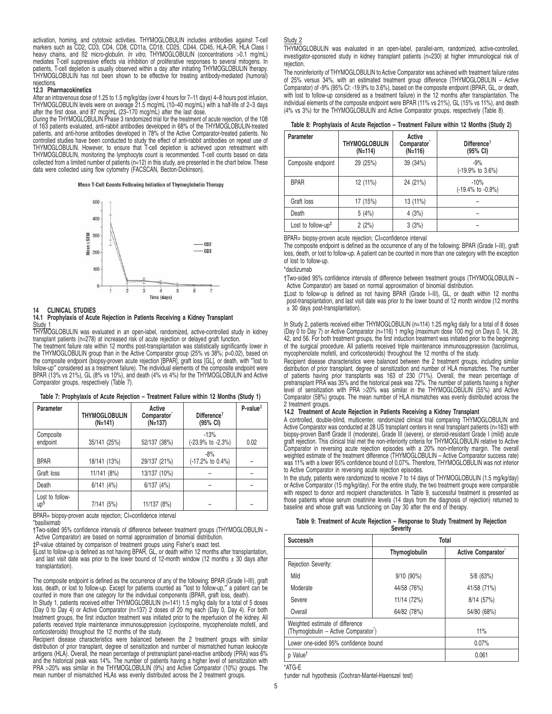activation, homing, and cytotoxic activities. THYMOGLOBULIN includes antibodies against T-cell markers such as CD2, CD3, CD4, CD8, CD11a, CD18, CD25, CD44, CD45, HLA-DR, HLA Class I heavy chains, and ß2 micro-globulin. In vitro, THYMOGLOBULIN (concentrations >0.1 mg/mL) mediates T-cell suppressive effects via inhibition of proliferative responses to several mitogens. In patients, T-cell depletion is usually observed within a day after initiating THYMOGLOBULIN therapy. THYMOGLOBULIN has not been shown to be effective for treating antibody-mediated (humoral) rejections.

#### **12.3 Pharmacokinetics**

After an intravenous dose of 1.25 to 1.5 mg/kg/day (over 4 hours for 7–11 days) 4–8 hours post infusion, THYMOGLOBULIN levels were on average 21.5 mcg/mL (10–40 mcg/mL) with a half-life of 2–3 days after the first dose, and 87 mcg/mL (23–170 mcg/mL) after the last dose.

During the THYMOGLOBULIN Phase 3 randomized trial for the treatment of acute rejection, of the 108 of 163 patients evaluated, anti-rabbit antibodies developed in 68% of the THYMOGLOBULIN-treated patients, and anti-horse antibodies developed in 78% of the Active Comparator-treated patients. No controlled studies have been conducted to study the effect of anti-rabbit antibodies on repeat use of THYMOGLOBULIN. However, to ensure that T-cell depletion is achieved upon retreatment with THYMOGLOBULIN, monitoring the lymphocyte count is recommended. T-cell counts based on data collected from a limited number of patients (n=12) in this study, are presented in the chart below. These data were collected using flow cytometry (FACSCAN, Becton-Dickinson).

#### Mean T-Cell Counts Following Initiation of Thymoglobulin Therapy



#### **14 CLINICAL STUDIES**

### **14.1 Prophylaxis of Acute Rejection in Patients Receiving a Kidney Transplant** Study 1

THYMOGLOBULIN was evaluated in an open-label, randomized, active-controlled study in kidney transplant patients (n=278) at increased risk of acute rejection or delayed graft function.

The treatment failure rate within 12 months post-transplantation was statistically significantly lower in the THYMOGLOBULIN group than in the Active Comparator group (25% vs 38%; p=0.02), based on the composite endpoint (biopsy-proven acute rejection [BPAR], graft loss [GL], or death, with ″lost to follow-up″ considered as a treatment failure). The individual elements of the composite endpoint were BPAR (13% vs 21%), GL (8% vs 10%), and death (4% vs 4%) for the THYMOGLOBULIN and Active Comparator groups, respectively (Table 7).

**Table 7: Prophylaxis of Acute Rejection – Treatment Failure within 12 Months (Study 1)**

| Parameter              | <b>THYMOGLOBULIN</b><br>$(N=141)$ | Active<br>Comparator <sup>*</sup><br>$(N=137)$ | Different<br>(95% CI)       | $P-value^{\ddagger}$ |
|------------------------|-----------------------------------|------------------------------------------------|-----------------------------|----------------------|
| Composite<br>endpoint  | 35/141 (25%)                      | 52/137 (38%)                                   | $-13%$<br>(-23.9% to -2.3%) | 0.02                 |
| <b>BPAR</b>            | 18/141 (13%)                      | 29/137 (21%)                                   | $-8%$<br>(-17.2% to 0.4%)   |                      |
| Graft loss             | 11/141 (8%)                       | 13/137 (10%)                                   |                             |                      |
| Death                  | $6/141$ $(4%)$                    | 6/137(4%)                                      |                             |                      |
| Lost to follow-<br>up§ | 7/141 (5%)                        | 11/137 (8%)                                    |                             |                      |

BPAR= biopsy-proven acute rejection; CI=confidence interval \*basiliximab

†Two-sided 95% confidence intervals of difference between treatment groups (THYMOGLOBULIN – Active Comparator) are based on normal approximation of binomial distribution.

‡P-value obtained by comparison of treatment groups using Fisher's exact test. §Lost to follow-up is defined as not having BPAR, GL, or death within 12 months after transplantation, and last visit date was prior to the lower bound of 12-month window (12 months  $\pm$  30 days after transplantation).

The composite endpoint is defined as the occurrence of any of the following: BPAR (Grade I–III), graft loss, death, or lost to follow-up. Except for patients counted as ″lost to follow-up,″ a patient can be counted in more than one category for the individual components (BPAR, graft loss, death).

In Study 1, patients received either THYMOGLOBULIN (n=141) 1.5 mg/kg daily for a total of 5 doses (Day 0 to Day 4) or Active Comparator (n=137) 2 doses of 20 mg each (Day 0, Day 4). For both treatment groups, the first induction treatment was initiated prior to the reperfusion of the kidney. All patients received triple maintenance immunosuppression (cyclosporine, mycophenolate mofetil, and corticosteroids) throughout the 12 months of the study.

Recipient disease characteristics were balanced between the 2 treatment groups with similar distribution of prior transplant, degree of sensitization and number of mismatched human leukocyte antigens (HLA). Overall, the mean percentage of pretransplant panel-reactive antibody (PRA) was 6% and the historical peak was 14%. The number of patients having a higher level of sensitization with PRA >20% was similar in the THYMOGLOBULIN (9%) and Active Comparator (10%) groups. The mean number of mismatched HLAs was evenly distributed across the 2 treatment groups.

#### Study 2

THYMOGLOBULIN was evaluated in an open-label, parallel-arm, randomized, active-controlled, investigator-sponsored study in kidney transplant patients (n=230) at higher immunological risk of rejection.

The noninferiority of THYMOGLOBULIN to Active Comparator was achieved with treatment failure rates of 25% versus 34%, with an estimated treatment group difference (THYMOGLOBULIN – Active Comparator) of -9% (95% CI: -19.9% to 3.6%), based on the composite endpoint (BPAR, GL, or death, with lost to follow-up considered as a treatment failure) in the 12 months after transplantation. The individual elements of the composite endpoint were BPAR (11% vs 21%), GL (15% vs 11%), and death (4% vs 3%) for the THYMOGLOBULIN and Active Comparator groups, respectively (Table 8).

| <b>Parameter</b>                            | <b>THYMOGLOBULIN</b><br>(N=114) | Active<br>Comparator <sup>®</sup><br>$(N=116)$ | Difference <sup><math>\dagger</math></sup><br>(95% CI) |
|---------------------------------------------|---------------------------------|------------------------------------------------|--------------------------------------------------------|
| Composite endpoint                          | 29 (25%)                        | 39 (34%)                                       | $-9%$<br>$(-19.9\% \text{ to } 3.6\%)$                 |
| <b>BPAR</b>                                 | 12 (11%)                        | 24 (21%)                                       | $-10%$<br>(-19.4% to -0.9%)                            |
| Graft loss                                  | 17 (15%)                        | 13 (11%)                                       |                                                        |
| Death                                       | 5(4%)                           | 4(3%)                                          |                                                        |
| Lost to follow-up <sup><math>#</math></sup> | 2(2%)                           | 3(3%)                                          |                                                        |

BPAR= biopsy-proven acute rejection; CI=confidence interval

The composite endpoint is defined as the occurrence of any of the following: BPAR (Grade I–III), graft loss, death, or lost to follow-up. A patient can be counted in more than one category with the exception of lost to follow-up.

#### \*daclizumab

†Two-sided 95% confidence intervals of difference between treatment groups (THYMOGLOBULIN – Active Comparator) are based on normal approximation of binomial distribution.

‡Lost to follow-up is defined as not having BPAR (Grade I–III), GL, or death within 12 months post-transplantation, and last visit date was prior to the lower bound of 12 month window (12 months ± 30 days post-transplantation).

In Study 2, patients received either THYMOGLOBULIN (n=114) 1.25 mg/kg daily for a total of 8 doses (Day 0 to Day 7) or Active Comparator (n=116) 1 mg/kg (maximum dose 100 mg) on Days 0, 14, 28, 42, and 56. For both treatment groups, the first induction treatment was initiated prior to the beginning of the surgical procedure. All patients received triple maintenance immunosuppression (tacrolimus, mycophenolate mofetil, and corticosteroids) throughout the 12 months of the study.

Recipient disease characteristics were balanced between the 2 treatment groups, including similar distribution of prior transplant, degree of sensitization and number of HLA mismatches. The number of patients having prior transplants was 163 of 230 (71%). Overall, the mean percentage of pretransplant PRA was 35% and the historical peak was 72%. The number of patients having a higher level of sensitization with PRA >20% was similar in the THYMOGLOBULIN (55%) and Active Comparator (58%) groups. The mean number of HLA mismatches was evenly distributed across the 2 treatment groups.

#### **14.2 Treatment of Acute Rejection in Patients Receiving a Kidney Transplant**

A controlled, double-blind, multicenter, randomized clinical trial comparing THYMOGLOBULIN and Active Comparator was conducted at 28 US transplant centers in renal transplant patients (n=163) with biopsy-proven Banff Grade II (moderate), Grade III (severe), or steroid-resistant Grade I (mild) acute<br>graft rejection. This clinical trial met the non-inferiority criteria for THYMOGLOBULIN relative to Active<br>Comparator i weighted estimate of the treatment difference (THYMOGLOBULIN – Active Comparator success rate) was 11% with a lower 95% confidence bound of 0.07%. Therefore, THYMOGLOBULIN was not inferior to Active Comparator in reversing acute rejection episodes.

In the study, patients were randomized to receive 7 to 14 days of THYMOGLOBULIN (1.5 mg/kg/day) or Active Comparator (15 mg/kg/day). For the entire study, the two treatment groups were comparable with respect to donor and recipient characteristics. In Table 9, successful treatment is presented as those patients whose serum creatinine levels (14 days from the diagnosis of rejection) returned to baseline and whose graft was functioning on Day 30 after the end of therapy.

| Table 9: Treatment of Acute Rejection - Response to Study Treatment by Rejection |                 |  |  |
|----------------------------------------------------------------------------------|-----------------|--|--|
|                                                                                  | <b>Severity</b> |  |  |

| Success/n                                                                            | <b>Total</b>  |                                |  |  |
|--------------------------------------------------------------------------------------|---------------|--------------------------------|--|--|
|                                                                                      | Thymoglobulin | Active Comparator <sup>®</sup> |  |  |
| Rejection Severity:                                                                  |               |                                |  |  |
| Mild                                                                                 | $9/10(90\%)$  | $5/8$ (63%)                    |  |  |
| Moderate                                                                             | 44/58 (76%)   | 41/58 (71%)                    |  |  |
| Severe                                                                               | 11/14 (72%)   | 8/14 (57%)                     |  |  |
| Overall                                                                              | 64/82 (78%)   | 54/80 (68%)                    |  |  |
| Weighted estimate of difference<br>(Thymoglobulin - Active Comparator <sup>*</sup> ) |               | 11%                            |  |  |
| Lower one-sided 95% confidence bound                                                 | 0.07%         |                                |  |  |
| p Value <sup>t</sup>                                                                 | 0.061         |                                |  |  |

\*ATG-E

†under null hypothesis (Cochran-Mantel-Haenszel test)